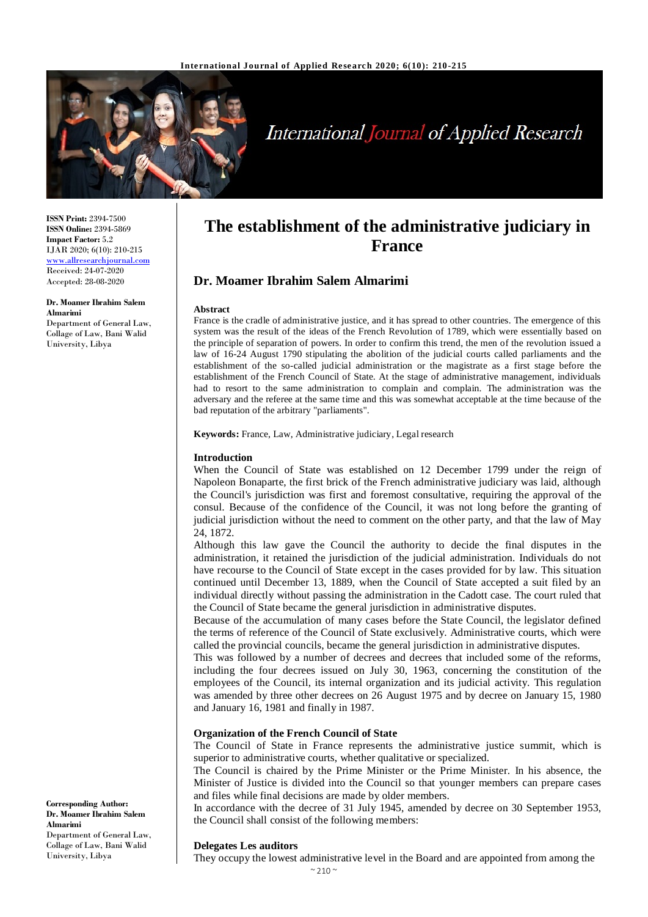

# **International Journal of Applied Research**

**ISSN Print:** 2394-7500 **ISSN Online:** 2394-5869 **Impact Factor:** 5.2 IJAR 2020; 6(10): 210-215 www.allresearchjournal.com Received: 24-07-2020 Accepted: 28-08-2020

**Dr. Moamer Ibrahim Salem Almarimi**

Department of General Law, Collage of Law, Bani Walid University, Libya

# **The establishment of the administrative judiciary in France**

### **Dr. Moamer Ibrahim Salem Almarimi**

#### **Abstract**

France is the cradle of administrative justice, and it has spread to other countries. The emergence of this system was the result of the ideas of the French Revolution of 1789, which were essentially based on the principle of separation of powers. In order to confirm this trend, the men of the revolution issued a law of 16-24 August 1790 stipulating the abolition of the judicial courts called parliaments and the establishment of the so-called judicial administration or the magistrate as a first stage before the establishment of the French Council of State. At the stage of administrative management, individuals had to resort to the same administration to complain and complain. The administration was the adversary and the referee at the same time and this was somewhat acceptable at the time because of the bad reputation of the arbitrary "parliaments".

**Keywords:** France, Law, Administrative judiciary, Legal research

#### **Introduction**

When the Council of State was established on 12 December 1799 under the reign of Napoleon Bonaparte, the first brick of the French administrative judiciary was laid, although the Council's jurisdiction was first and foremost consultative, requiring the approval of the consul. Because of the confidence of the Council, it was not long before the granting of judicial jurisdiction without the need to comment on the other party, and that the law of May 24, 1872.

Although this law gave the Council the authority to decide the final disputes in the administration, it retained the jurisdiction of the judicial administration. Individuals do not have recourse to the Council of State except in the cases provided for by law. This situation continued until December 13, 1889, when the Council of State accepted a suit filed by an individual directly without passing the administration in the Cadott case. The court ruled that the Council of State became the general jurisdiction in administrative disputes.

Because of the accumulation of many cases before the State Council, the legislator defined the terms of reference of the Council of State exclusively. Administrative courts, which were called the provincial councils, became the general jurisdiction in administrative disputes.

This was followed by a number of decrees and decrees that included some of the reforms, including the four decrees issued on July 30, 1963, concerning the constitution of the employees of the Council, its internal organization and its judicial activity. This regulation was amended by three other decrees on 26 August 1975 and by decree on January 15, 1980 and January 16, 1981 and finally in 1987.

#### **Organization of the French Council of State**

The Council of State in France represents the administrative justice summit, which is superior to administrative courts, whether qualitative or specialized.

The Council is chaired by the Prime Minister or the Prime Minister. In his absence, the Minister of Justice is divided into the Council so that younger members can prepare cases and files while final decisions are made by older members.

In accordance with the decree of 31 July 1945, amended by decree on 30 September 1953, the Council shall consist of the following members:

#### **Delegates Les auditors**

They occupy the lowest administrative level in the Board and are appointed from among the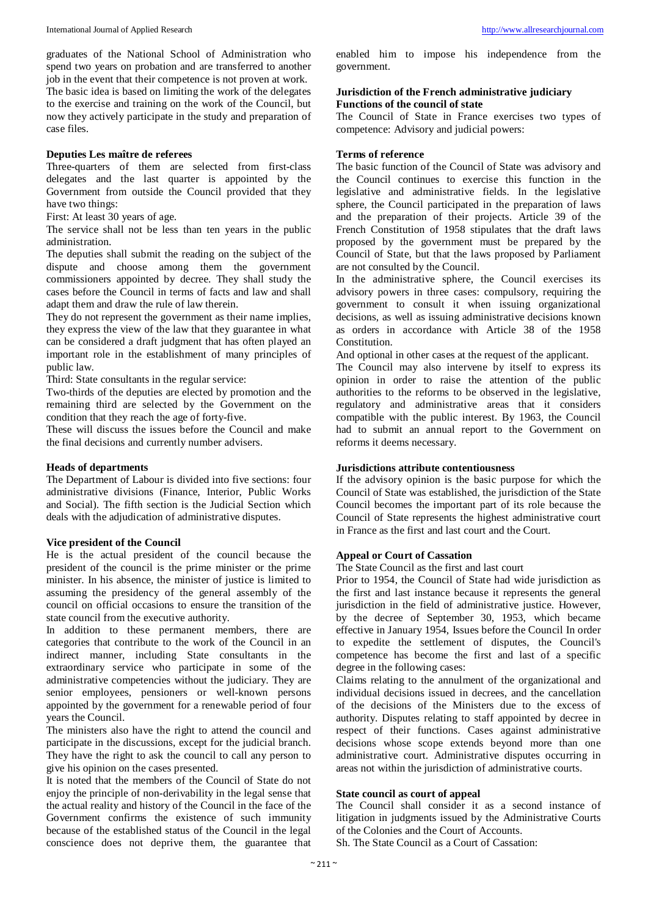graduates of the National School of Administration who spend two years on probation and are transferred to another job in the event that their competence is not proven at work.

The basic idea is based on limiting the work of the delegates to the exercise and training on the work of the Council, but now they actively participate in the study and preparation of case files.

#### **Deputies Les maître de referees**

Three-quarters of them are selected from first-class delegates and the last quarter is appointed by the Government from outside the Council provided that they have two things:

First: At least 30 years of age.

The service shall not be less than ten years in the public administration.

The deputies shall submit the reading on the subject of the dispute and choose among them the government commissioners appointed by decree. They shall study the cases before the Council in terms of facts and law and shall adapt them and draw the rule of law therein.

They do not represent the government as their name implies, they express the view of the law that they guarantee in what can be considered a draft judgment that has often played an important role in the establishment of many principles of public law.

Third: State consultants in the regular service:

Two-thirds of the deputies are elected by promotion and the remaining third are selected by the Government on the condition that they reach the age of forty-five.

These will discuss the issues before the Council and make the final decisions and currently number advisers.

#### **Heads of departments**

The Department of Labour is divided into five sections: four administrative divisions (Finance, Interior, Public Works and Social). The fifth section is the Judicial Section which deals with the adjudication of administrative disputes.

#### **Vice president of the Council**

He is the actual president of the council because the president of the council is the prime minister or the prime minister. In his absence, the minister of justice is limited to assuming the presidency of the general assembly of the council on official occasions to ensure the transition of the state council from the executive authority.

In addition to these permanent members, there are categories that contribute to the work of the Council in an indirect manner, including State consultants in the extraordinary service who participate in some of the administrative competencies without the judiciary. They are senior employees, pensioners or well-known persons appointed by the government for a renewable period of four years the Council.

The ministers also have the right to attend the council and participate in the discussions, except for the judicial branch. They have the right to ask the council to call any person to give his opinion on the cases presented.

It is noted that the members of the Council of State do not enjoy the principle of non-derivability in the legal sense that the actual reality and history of the Council in the face of the Government confirms the existence of such immunity because of the established status of the Council in the legal conscience does not deprive them, the guarantee that

enabled him to impose his independence from the government.

#### **Jurisdiction of the French administrative judiciary Functions of the council of state**

The Council of State in France exercises two types of competence: Advisory and judicial powers:

#### **Terms of reference**

The basic function of the Council of State was advisory and the Council continues to exercise this function in the legislative and administrative fields. In the legislative sphere, the Council participated in the preparation of laws and the preparation of their projects. Article 39 of the French Constitution of 1958 stipulates that the draft laws proposed by the government must be prepared by the Council of State, but that the laws proposed by Parliament are not consulted by the Council.

In the administrative sphere, the Council exercises its advisory powers in three cases: compulsory, requiring the government to consult it when issuing organizational decisions, as well as issuing administrative decisions known as orders in accordance with Article 38 of the 1958 Constitution.

And optional in other cases at the request of the applicant.

The Council may also intervene by itself to express its opinion in order to raise the attention of the public authorities to the reforms to be observed in the legislative, regulatory and administrative areas that it considers compatible with the public interest. By 1963, the Council had to submit an annual report to the Government on reforms it deems necessary.

#### **Jurisdictions attribute contentiousness**

If the advisory opinion is the basic purpose for which the Council of State was established, the jurisdiction of the State Council becomes the important part of its role because the Council of State represents the highest administrative court in France as the first and last court and the Court.

#### **Appeal or Court of Cassation**

The State Council as the first and last court

Prior to 1954, the Council of State had wide jurisdiction as the first and last instance because it represents the general jurisdiction in the field of administrative justice. However, by the decree of September 30, 1953, which became effective in January 1954, Issues before the Council In order to expedite the settlement of disputes, the Council's competence has become the first and last of a specific degree in the following cases:

Claims relating to the annulment of the organizational and individual decisions issued in decrees, and the cancellation of the decisions of the Ministers due to the excess of authority. Disputes relating to staff appointed by decree in respect of their functions. Cases against administrative decisions whose scope extends beyond more than one administrative court. Administrative disputes occurring in areas not within the jurisdiction of administrative courts.

#### **State council as court of appeal**

The Council shall consider it as a second instance of litigation in judgments issued by the Administrative Courts of the Colonies and the Court of Accounts.

Sh. The State Council as a Court of Cassation: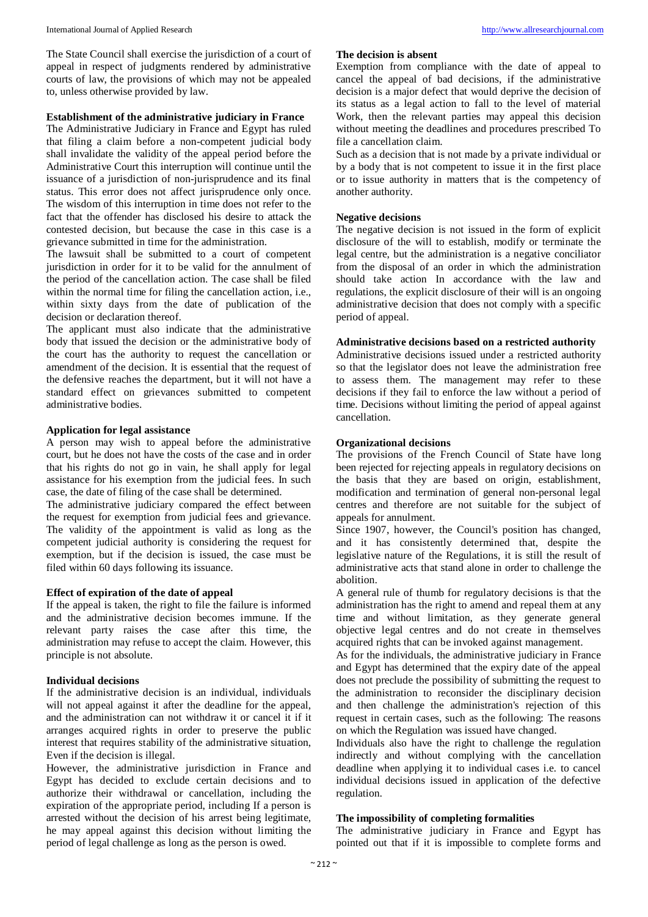The State Council shall exercise the jurisdiction of a court of appeal in respect of judgments rendered by administrative courts of law, the provisions of which may not be appealed to, unless otherwise provided by law.

#### **Establishment of the administrative judiciary in France**

The Administrative Judiciary in France and Egypt has ruled that filing a claim before a non-competent judicial body shall invalidate the validity of the appeal period before the Administrative Court this interruption will continue until the issuance of a jurisdiction of non-jurisprudence and its final status. This error does not affect jurisprudence only once. The wisdom of this interruption in time does not refer to the fact that the offender has disclosed his desire to attack the contested decision, but because the case in this case is a grievance submitted in time for the administration.

The lawsuit shall be submitted to a court of competent jurisdiction in order for it to be valid for the annulment of the period of the cancellation action. The case shall be filed within the normal time for filing the cancellation action, i.e., within sixty days from the date of publication of the decision or declaration thereof.

The applicant must also indicate that the administrative body that issued the decision or the administrative body of the court has the authority to request the cancellation or amendment of the decision. It is essential that the request of the defensive reaches the department, but it will not have a standard effect on grievances submitted to competent administrative bodies.

#### **Application for legal assistance**

A person may wish to appeal before the administrative court, but he does not have the costs of the case and in order that his rights do not go in vain, he shall apply for legal assistance for his exemption from the judicial fees. In such case, the date of filing of the case shall be determined.

The administrative judiciary compared the effect between the request for exemption from judicial fees and grievance. The validity of the appointment is valid as long as the competent judicial authority is considering the request for exemption, but if the decision is issued, the case must be filed within 60 days following its issuance.

#### **Effect of expiration of the date of appeal**

If the appeal is taken, the right to file the failure is informed and the administrative decision becomes immune. If the relevant party raises the case after this time, the administration may refuse to accept the claim. However, this principle is not absolute.

#### **Individual decisions**

If the administrative decision is an individual, individuals will not appeal against it after the deadline for the appeal, and the administration can not withdraw it or cancel it if it arranges acquired rights in order to preserve the public interest that requires stability of the administrative situation, Even if the decision is illegal.

However, the administrative jurisdiction in France and Egypt has decided to exclude certain decisions and to authorize their withdrawal or cancellation, including the expiration of the appropriate period, including If a person is arrested without the decision of his arrest being legitimate, he may appeal against this decision without limiting the period of legal challenge as long as the person is owed.

#### **The decision is absent**

Exemption from compliance with the date of appeal to cancel the appeal of bad decisions, if the administrative decision is a major defect that would deprive the decision of its status as a legal action to fall to the level of material Work, then the relevant parties may appeal this decision without meeting the deadlines and procedures prescribed To file a cancellation claim.

Such as a decision that is not made by a private individual or by a body that is not competent to issue it in the first place or to issue authority in matters that is the competency of another authority.

# **Negative decisions**

The negative decision is not issued in the form of explicit disclosure of the will to establish, modify or terminate the legal centre, but the administration is a negative conciliator from the disposal of an order in which the administration should take action In accordance with the law and regulations, the explicit disclosure of their will is an ongoing administrative decision that does not comply with a specific period of appeal.

# **Administrative decisions based on a restricted authority**

Administrative decisions issued under a restricted authority so that the legislator does not leave the administration free to assess them. The management may refer to these decisions if they fail to enforce the law without a period of time. Decisions without limiting the period of appeal against cancellation.

#### **Organizational decisions**

The provisions of the French Council of State have long been rejected for rejecting appeals in regulatory decisions on the basis that they are based on origin, establishment, modification and termination of general non-personal legal centres and therefore are not suitable for the subject of appeals for annulment.

Since 1907, however, the Council's position has changed, and it has consistently determined that, despite the legislative nature of the Regulations, it is still the result of administrative acts that stand alone in order to challenge the abolition.

A general rule of thumb for regulatory decisions is that the administration has the right to amend and repeal them at any time and without limitation, as they generate general objective legal centres and do not create in themselves acquired rights that can be invoked against management.

As for the individuals, the administrative judiciary in France and Egypt has determined that the expiry date of the appeal does not preclude the possibility of submitting the request to the administration to reconsider the disciplinary decision and then challenge the administration's rejection of this request in certain cases, such as the following: The reasons on which the Regulation was issued have changed.

Individuals also have the right to challenge the regulation indirectly and without complying with the cancellation deadline when applying it to individual cases i.e. to cancel individual decisions issued in application of the defective regulation.

#### **The impossibility of completing formalities**

The administrative judiciary in France and Egypt has pointed out that if it is impossible to complete forms and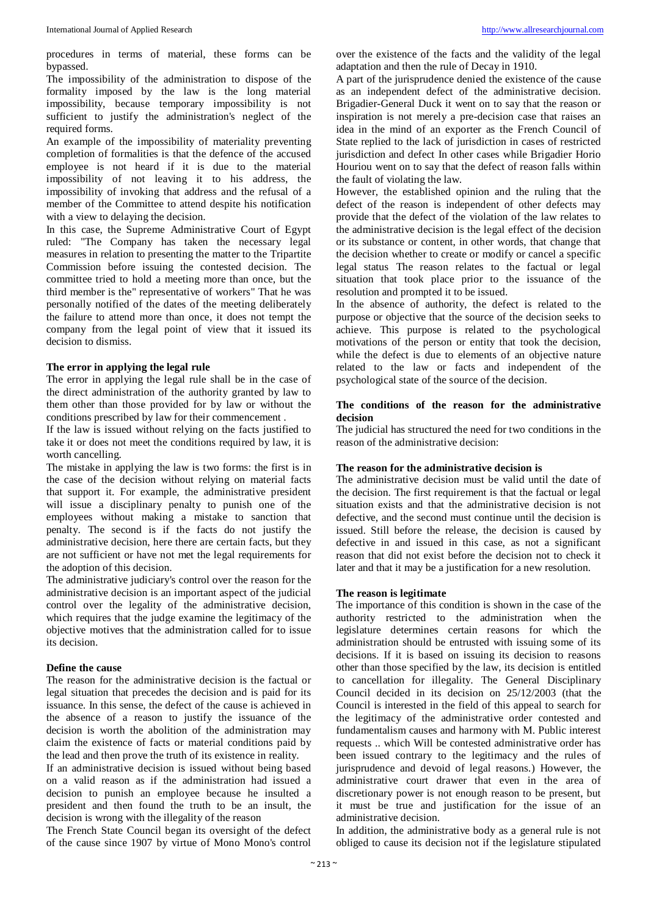procedures in terms of material, these forms can be bypassed.

The impossibility of the administration to dispose of the formality imposed by the law is the long material impossibility, because temporary impossibility is not sufficient to justify the administration's neglect of the required forms.

An example of the impossibility of materiality preventing completion of formalities is that the defence of the accused employee is not heard if it is due to the material impossibility of not leaving it to his address, the impossibility of invoking that address and the refusal of a member of the Committee to attend despite his notification with a view to delaying the decision.

In this case, the Supreme Administrative Court of Egypt ruled: "The Company has taken the necessary legal measures in relation to presenting the matter to the Tripartite Commission before issuing the contested decision. The committee tried to hold a meeting more than once, but the third member is the" representative of workers" That he was personally notified of the dates of the meeting deliberately the failure to attend more than once, it does not tempt the company from the legal point of view that it issued its decision to dismiss.

#### **The error in applying the legal rule**

The error in applying the legal rule shall be in the case of the direct administration of the authority granted by law to them other than those provided for by law or without the conditions prescribed by law for their commencement .

If the law is issued without relying on the facts justified to take it or does not meet the conditions required by law, it is worth cancelling.

The mistake in applying the law is two forms: the first is in the case of the decision without relying on material facts that support it. For example, the administrative president will issue a disciplinary penalty to punish one of the employees without making a mistake to sanction that penalty. The second is if the facts do not justify the administrative decision, here there are certain facts, but they are not sufficient or have not met the legal requirements for the adoption of this decision.

The administrative judiciary's control over the reason for the administrative decision is an important aspect of the judicial control over the legality of the administrative decision, which requires that the judge examine the legitimacy of the objective motives that the administration called for to issue its decision.

#### **Define the cause**

The reason for the administrative decision is the factual or legal situation that precedes the decision and is paid for its issuance. In this sense, the defect of the cause is achieved in the absence of a reason to justify the issuance of the decision is worth the abolition of the administration may claim the existence of facts or material conditions paid by the lead and then prove the truth of its existence in reality.

If an administrative decision is issued without being based on a valid reason as if the administration had issued a decision to punish an employee because he insulted a president and then found the truth to be an insult, the decision is wrong with the illegality of the reason

The French State Council began its oversight of the defect of the cause since 1907 by virtue of Mono Mono's control

over the existence of the facts and the validity of the legal adaptation and then the rule of Decay in 1910.

A part of the jurisprudence denied the existence of the cause as an independent defect of the administrative decision. Brigadier-General Duck it went on to say that the reason or inspiration is not merely a pre-decision case that raises an idea in the mind of an exporter as the French Council of State replied to the lack of jurisdiction in cases of restricted jurisdiction and defect In other cases while Brigadier Horio Houriou went on to say that the defect of reason falls within the fault of violating the law.

However, the established opinion and the ruling that the defect of the reason is independent of other defects may provide that the defect of the violation of the law relates to the administrative decision is the legal effect of the decision or its substance or content, in other words, that change that the decision whether to create or modify or cancel a specific legal status The reason relates to the factual or legal situation that took place prior to the issuance of the resolution and prompted it to be issued.

In the absence of authority, the defect is related to the purpose or objective that the source of the decision seeks to achieve. This purpose is related to the psychological motivations of the person or entity that took the decision, while the defect is due to elements of an objective nature related to the law or facts and independent of the psychological state of the source of the decision.

#### **The conditions of the reason for the administrative decision**

The judicial has structured the need for two conditions in the reason of the administrative decision:

#### **The reason for the administrative decision is**

The administrative decision must be valid until the date of the decision. The first requirement is that the factual or legal situation exists and that the administrative decision is not defective, and the second must continue until the decision is issued. Still before the release, the decision is caused by defective in and issued in this case, as not a significant reason that did not exist before the decision not to check it later and that it may be a justification for a new resolution.

#### **The reason is legitimate**

The importance of this condition is shown in the case of the authority restricted to the administration when the legislature determines certain reasons for which the administration should be entrusted with issuing some of its decisions. If it is based on issuing its decision to reasons other than those specified by the law, its decision is entitled to cancellation for illegality. The General Disciplinary Council decided in its decision on 25/12/2003 (that the Council is interested in the field of this appeal to search for the legitimacy of the administrative order contested and fundamentalism causes and harmony with M. Public interest requests .. which Will be contested administrative order has been issued contrary to the legitimacy and the rules of jurisprudence and devoid of legal reasons.) However, the administrative court drawer that even in the area of discretionary power is not enough reason to be present, but it must be true and justification for the issue of an administrative decision.

In addition, the administrative body as a general rule is not obliged to cause its decision not if the legislature stipulated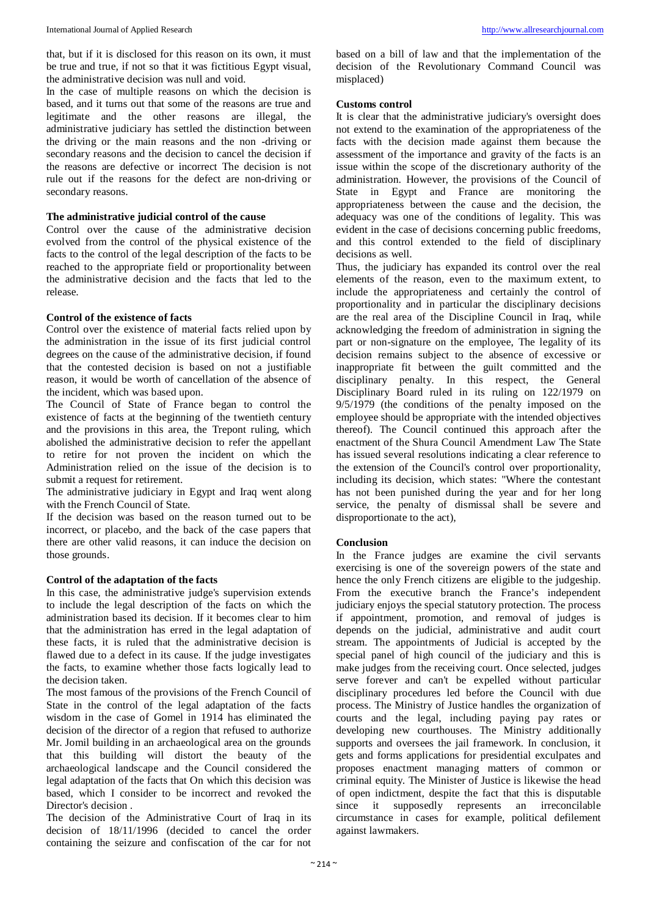that, but if it is disclosed for this reason on its own, it must be true and true, if not so that it was fictitious Egypt visual, the administrative decision was null and void.

In the case of multiple reasons on which the decision is based, and it turns out that some of the reasons are true and legitimate and the other reasons are illegal, the administrative judiciary has settled the distinction between the driving or the main reasons and the non -driving or secondary reasons and the decision to cancel the decision if the reasons are defective or incorrect The decision is not rule out if the reasons for the defect are non-driving or secondary reasons.

#### **The administrative judicial control of the cause**

Control over the cause of the administrative decision evolved from the control of the physical existence of the facts to the control of the legal description of the facts to be reached to the appropriate field or proportionality between the administrative decision and the facts that led to the release.

#### **Control of the existence of facts**

Control over the existence of material facts relied upon by the administration in the issue of its first judicial control degrees on the cause of the administrative decision, if found that the contested decision is based on not a justifiable reason, it would be worth of cancellation of the absence of the incident, which was based upon.

The Council of State of France began to control the existence of facts at the beginning of the twentieth century and the provisions in this area, the Trepont ruling, which abolished the administrative decision to refer the appellant to retire for not proven the incident on which the Administration relied on the issue of the decision is to submit a request for retirement.

The administrative judiciary in Egypt and Iraq went along with the French Council of State.

If the decision was based on the reason turned out to be incorrect, or placebo, and the back of the case papers that there are other valid reasons, it can induce the decision on those grounds.

#### **Control of the adaptation of the facts**

In this case, the administrative judge's supervision extends to include the legal description of the facts on which the administration based its decision. If it becomes clear to him that the administration has erred in the legal adaptation of these facts, it is ruled that the administrative decision is flawed due to a defect in its cause. If the judge investigates the facts, to examine whether those facts logically lead to the decision taken.

The most famous of the provisions of the French Council of State in the control of the legal adaptation of the facts wisdom in the case of Gomel in 1914 has eliminated the decision of the director of a region that refused to authorize Mr. Jomil building in an archaeological area on the grounds that this building will distort the beauty of the archaeological landscape and the Council considered the legal adaptation of the facts that On which this decision was based, which I consider to be incorrect and revoked the Director's decision .

The decision of the Administrative Court of Iraq in its decision of 18/11/1996 (decided to cancel the order containing the seizure and confiscation of the car for not based on a bill of law and that the implementation of the decision of the Revolutionary Command Council was misplaced)

#### **Customs control**

It is clear that the administrative judiciary's oversight does not extend to the examination of the appropriateness of the facts with the decision made against them because the assessment of the importance and gravity of the facts is an issue within the scope of the discretionary authority of the administration. However, the provisions of the Council of State in Egypt and France are monitoring the appropriateness between the cause and the decision, the adequacy was one of the conditions of legality. This was evident in the case of decisions concerning public freedoms, and this control extended to the field of disciplinary decisions as well.

Thus, the judiciary has expanded its control over the real elements of the reason, even to the maximum extent, to include the appropriateness and certainly the control of proportionality and in particular the disciplinary decisions are the real area of the Discipline Council in Iraq, while acknowledging the freedom of administration in signing the part or non-signature on the employee, The legality of its decision remains subject to the absence of excessive or inappropriate fit between the guilt committed and the disciplinary penalty. In this respect, the General Disciplinary Board ruled in its ruling on 122/1979 on 9/5/1979 (the conditions of the penalty imposed on the employee should be appropriate with the intended objectives thereof). The Council continued this approach after the enactment of the Shura Council Amendment Law The State has issued several resolutions indicating a clear reference to the extension of the Council's control over proportionality, including its decision, which states: "Where the contestant has not been punished during the year and for her long service, the penalty of dismissal shall be severe and disproportionate to the act),

#### **Conclusion**

In the France judges are examine the civil servants exercising is one of the sovereign powers of the state and hence the only French citizens are eligible to the judgeship. From the executive branch the France's independent judiciary enjoys the special statutory protection. The process if appointment, promotion, and removal of judges is depends on the judicial, administrative and audit court stream. The appointments of Judicial is accepted by the special panel of high council of the judiciary and this is make judges from the receiving court. Once selected, judges serve forever and can't be expelled without particular disciplinary procedures led before the Council with due process. The Ministry of Justice handles the organization of courts and the legal, including paying pay rates or developing new courthouses. The Ministry additionally supports and oversees the jail framework. In conclusion, it gets and forms applications for presidential exculpates and proposes enactment managing matters of common or criminal equity. The Minister of Justice is likewise the head of open indictment, despite the fact that this is disputable since it supposedly represents an irreconcilable circumstance in cases for example, political defilement against lawmakers.